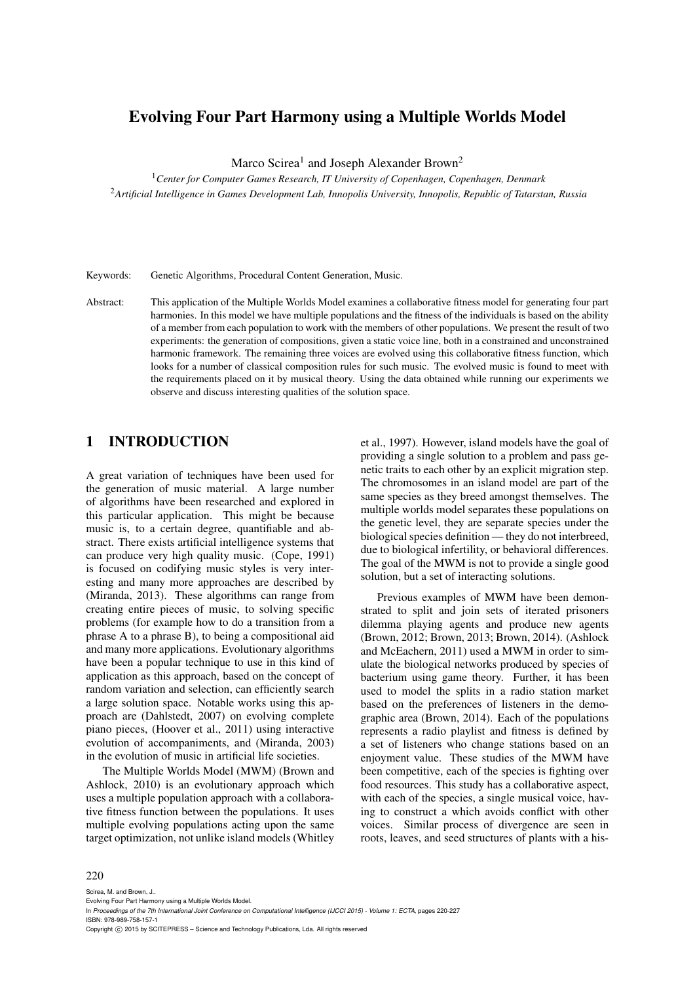# Evolving Four Part Harmony using a Multiple Worlds Model

Marco Scirea<sup>1</sup> and Joseph Alexander Brown<sup>2</sup>

<sup>1</sup>*Center for Computer Games Research, IT University of Copenhagen, Copenhagen, Denmark* <sup>2</sup>*Artificial Intelligence in Games Development Lab, Innopolis University, Innopolis, Republic of Tatarstan, Russia*

Keywords: Genetic Algorithms, Procedural Content Generation, Music.

Abstract: This application of the Multiple Worlds Model examines a collaborative fitness model for generating four part harmonies. In this model we have multiple populations and the fitness of the individuals is based on the ability of a member from each population to work with the members of other populations. We present the result of two experiments: the generation of compositions, given a static voice line, both in a constrained and unconstrained harmonic framework. The remaining three voices are evolved using this collaborative fitness function, which looks for a number of classical composition rules for such music. The evolved music is found to meet with the requirements placed on it by musical theory. Using the data obtained while running our experiments we observe and discuss interesting qualities of the solution space.

## 1 INTRODUCTION

A great variation of techniques have been used for the generation of music material. A large number of algorithms have been researched and explored in this particular application. This might be because music is, to a certain degree, quantifiable and abstract. There exists artificial intelligence systems that can produce very high quality music. (Cope, 1991) is focused on codifying music styles is very interesting and many more approaches are described by (Miranda, 2013). These algorithms can range from creating entire pieces of music, to solving specific problems (for example how to do a transition from a phrase A to a phrase B), to being a compositional aid and many more applications. Evolutionary algorithms have been a popular technique to use in this kind of application as this approach, based on the concept of random variation and selection, can efficiently search a large solution space. Notable works using this approach are (Dahlstedt, 2007) on evolving complete piano pieces, (Hoover et al., 2011) using interactive evolution of accompaniments, and (Miranda, 2003) in the evolution of music in artificial life societies.

The Multiple Worlds Model (MWM) (Brown and Ashlock, 2010) is an evolutionary approach which uses a multiple population approach with a collaborative fitness function between the populations. It uses multiple evolving populations acting upon the same target optimization, not unlike island models (Whitley et al., 1997). However, island models have the goal of providing a single solution to a problem and pass genetic traits to each other by an explicit migration step. The chromosomes in an island model are part of the same species as they breed amongst themselves. The multiple worlds model separates these populations on the genetic level, they are separate species under the biological species definition — they do not interbreed, due to biological infertility, or behavioral differences. The goal of the MWM is not to provide a single good solution, but a set of interacting solutions.

Previous examples of MWM have been demonstrated to split and join sets of iterated prisoners dilemma playing agents and produce new agents (Brown, 2012; Brown, 2013; Brown, 2014). (Ashlock and McEachern, 2011) used a MWM in order to simulate the biological networks produced by species of bacterium using game theory. Further, it has been used to model the splits in a radio station market based on the preferences of listeners in the demographic area (Brown, 2014). Each of the populations represents a radio playlist and fitness is defined by a set of listeners who change stations based on an enjoyment value. These studies of the MWM have been competitive, each of the species is fighting over food resources. This study has a collaborative aspect, with each of the species, a single musical voice, having to construct a which avoids conflict with other voices. Similar process of divergence are seen in roots, leaves, and seed structures of plants with a his-

#### 220

Scirea, M. and Brown, J.. Evolving Four Part Harmony using a Multiple Worlds Model.

In *Proceedings of the 7th International Joint Conference on Computational Intelligence (IJCCI 2015) - Volume 1: ECTA*, pages 220-227 ISBN: 978-989-758-157-1

Copyright C 2015 by SCITEPRESS - Science and Technology Publications, Lda. All rights reserved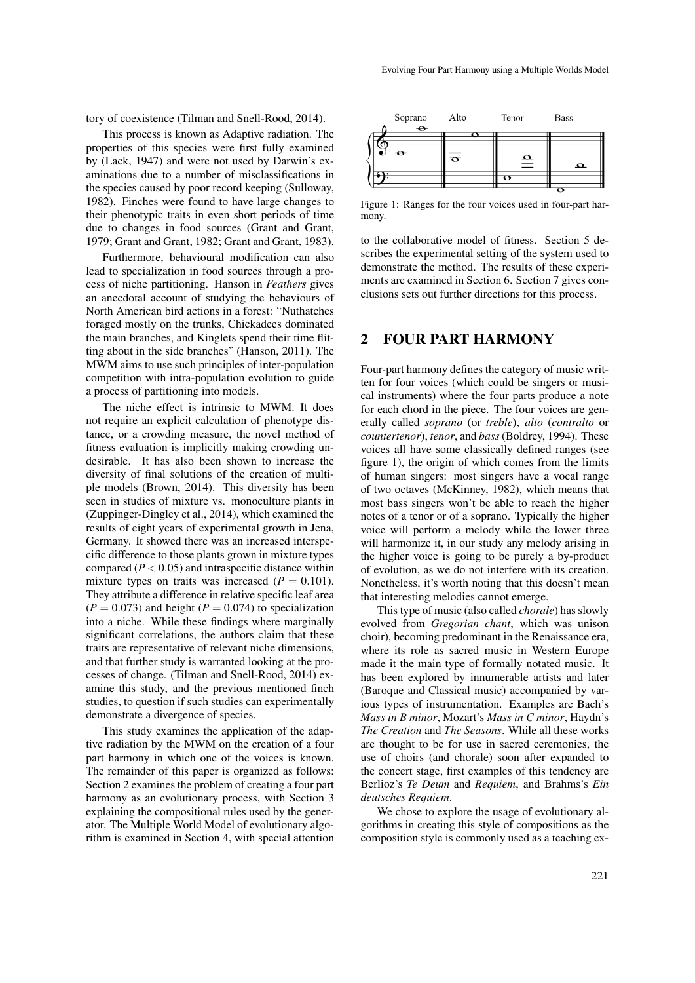tory of coexistence (Tilman and Snell-Rood, 2014).

This process is known as Adaptive radiation. The properties of this species were first fully examined by (Lack, 1947) and were not used by Darwin's examinations due to a number of misclassifications in the species caused by poor record keeping (Sulloway, 1982). Finches were found to have large changes to their phenotypic traits in even short periods of time due to changes in food sources (Grant and Grant, 1979; Grant and Grant, 1982; Grant and Grant, 1983).

Furthermore, behavioural modification can also lead to specialization in food sources through a process of niche partitioning. Hanson in *Feathers* gives an anecdotal account of studying the behaviours of North American bird actions in a forest: "Nuthatches foraged mostly on the trunks, Chickadees dominated the main branches, and Kinglets spend their time flitting about in the side branches" (Hanson, 2011). The MWM aims to use such principles of inter-population competition with intra-population evolution to guide a process of partitioning into models.

The niche effect is intrinsic to MWM. It does not require an explicit calculation of phenotype distance, or a crowding measure, the novel method of fitness evaluation is implicitly making crowding undesirable. It has also been shown to increase the diversity of final solutions of the creation of multiple models (Brown, 2014). This diversity has been seen in studies of mixture vs. monoculture plants in (Zuppinger-Dingley et al., 2014), which examined the results of eight years of experimental growth in Jena, Germany. It showed there was an increased interspecific difference to those plants grown in mixture types compared  $(P < 0.05)$  and intraspecific distance within mixture types on traits was increased  $(P = 0.101)$ . They attribute a difference in relative specific leaf area  $(P = 0.073)$  and height  $(P = 0.074)$  to specialization into a niche. While these findings where marginally significant correlations, the authors claim that these traits are representative of relevant niche dimensions, and that further study is warranted looking at the processes of change. (Tilman and Snell-Rood, 2014) examine this study, and the previous mentioned finch studies, to question if such studies can experimentally demonstrate a divergence of species.

This study examines the application of the adaptive radiation by the MWM on the creation of a four part harmony in which one of the voices is known. The remainder of this paper is organized as follows: Section 2 examines the problem of creating a four part harmony as an evolutionary process, with Section 3 explaining the compositional rules used by the generator. The Multiple World Model of evolutionary algorithm is examined in Section 4, with special attention



Figure 1: Ranges for the four voices used in four-part harmony.

to the collaborative model of fitness. Section 5 describes the experimental setting of the system used to demonstrate the method. The results of these experiments are examined in Section 6. Section 7 gives conclusions sets out further directions for this process.

## 2 FOUR PART HARMONY

Four-part harmony defines the category of music written for four voices (which could be singers or musical instruments) where the four parts produce a note for each chord in the piece. The four voices are generally called *soprano* (or *treble*), *alto* (*contralto* or *countertenor*), *tenor*, and *bass*(Boldrey, 1994). These voices all have some classically defined ranges (see figure 1), the origin of which comes from the limits of human singers: most singers have a vocal range of two octaves (McKinney, 1982), which means that most bass singers won't be able to reach the higher notes of a tenor or of a soprano. Typically the higher voice will perform a melody while the lower three will harmonize it, in our study any melody arising in the higher voice is going to be purely a by-product of evolution, as we do not interfere with its creation. Nonetheless, it's worth noting that this doesn't mean that interesting melodies cannot emerge.

This type of music (also called *chorale*) has slowly evolved from *Gregorian chant*, which was unison choir), becoming predominant in the Renaissance era, where its role as sacred music in Western Europe made it the main type of formally notated music. It has been explored by innumerable artists and later (Baroque and Classical music) accompanied by various types of instrumentation. Examples are Bach's *Mass in B minor*, Mozart's *Mass in C minor*, Haydn's *The Creation* and *The Seasons*. While all these works are thought to be for use in sacred ceremonies, the use of choirs (and chorale) soon after expanded to the concert stage, first examples of this tendency are Berlioz's *Te Deum* and *Requiem*, and Brahms's *Ein deutsches Requiem*.

We chose to explore the usage of evolutionary algorithms in creating this style of compositions as the composition style is commonly used as a teaching ex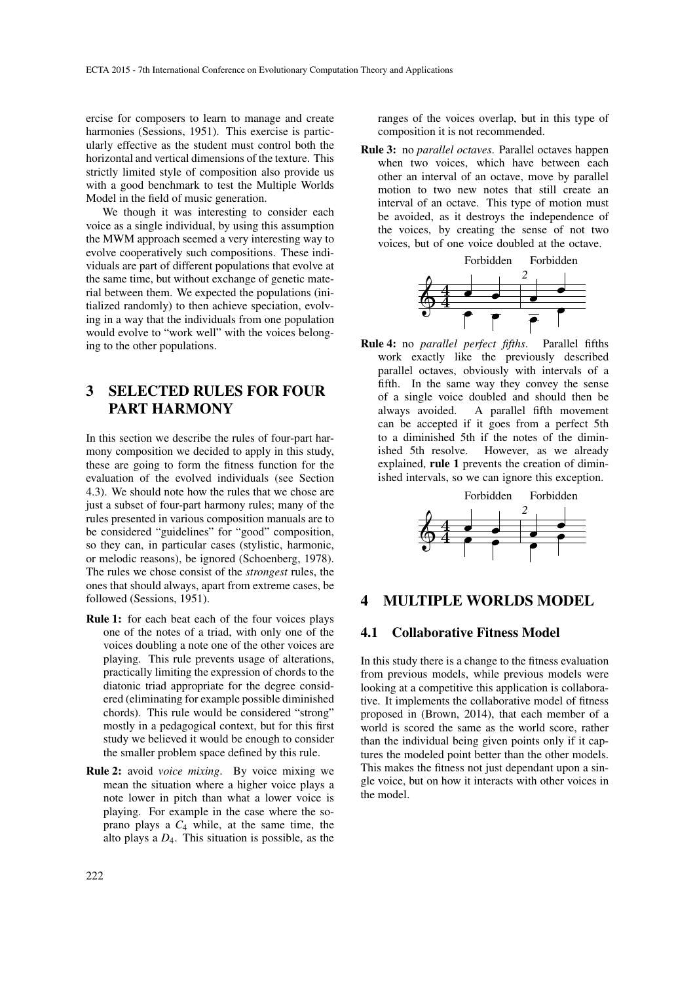ercise for composers to learn to manage and create harmonies (Sessions, 1951). This exercise is particularly effective as the student must control both the horizontal and vertical dimensions of the texture. This strictly limited style of composition also provide us with a good benchmark to test the Multiple Worlds Model in the field of music generation.

We though it was interesting to consider each voice as a single individual, by using this assumption the MWM approach seemed a very interesting way to evolve cooperatively such compositions. These individuals are part of different populations that evolve at the same time, but without exchange of genetic material between them. We expected the populations (initialized randomly) to then achieve speciation, evolving in a way that the individuals from one population would evolve to "work well" with the voices belonging to the other populations.

## 3 SELECTED RULES FOR FOUR PART HARMONY

In this section we describe the rules of four-part harmony composition we decided to apply in this study, these are going to form the fitness function for the evaluation of the evolved individuals (see Section 4.3). We should note how the rules that we chose are just a subset of four-part harmony rules; many of the rules presented in various composition manuals are to be considered "guidelines" for "good" composition, so they can, in particular cases (stylistic, harmonic, or melodic reasons), be ignored (Schoenberg, 1978). The rules we chose consist of the *strongest* rules, the ones that should always, apart from extreme cases, be followed (Sessions, 1951).

- Rule 1: for each beat each of the four voices plays one of the notes of a triad, with only one of the voices doubling a note one of the other voices are playing. This rule prevents usage of alterations, practically limiting the expression of chords to the diatonic triad appropriate for the degree considered (eliminating for example possible diminished chords). This rule would be considered "strong" mostly in a pedagogical context, but for this first study we believed it would be enough to consider the smaller problem space defined by this rule.
- Rule 2: avoid *voice mixing*. By voice mixing we mean the situation where a higher voice plays a note lower in pitch than what a lower voice is playing. For example in the case where the soprano plays a *C*<sup>4</sup> while, at the same time, the alto plays a *D*4. This situation is possible, as the

222

ranges of the voices overlap, but in this type of composition it is not recommended.

Rule 3: no *parallel octaves*. Parallel octaves happen when two voices, which have between each other an interval of an octave, move by parallel motion to two new notes that still create an interval of an octave. This type of motion must be avoided, as it destroys the independence of the voices, by creating the sense of not two voices, but of one voice doubled at the octave.



Rule 4: no *parallel perfect fifths*. Parallel fifths work exactly like the previously described parallel octaves, obviously with intervals of a fifth. In the same way they convey the sense of a single voice doubled and should then be always avoided. A parallel fifth movement can be accepted if it goes from a perfect 5th to a diminished 5th if the notes of the diminished 5th resolve. However, as we already explained, rule 1 prevents the creation of diminished intervals, so we can ignore this exception.



### 4 MULTIPLE WORLDS MODEL

### 4.1 Collaborative Fitness Model

In this study there is a change to the fitness evaluation from previous models, while previous models were looking at a competitive this application is collaborative. It implements the collaborative model of fitness proposed in (Brown, 2014), that each member of a world is scored the same as the world score, rather than the individual being given points only if it captures the modeled point better than the other models. This makes the fitness not just dependant upon a single voice, but on how it interacts with other voices in the model.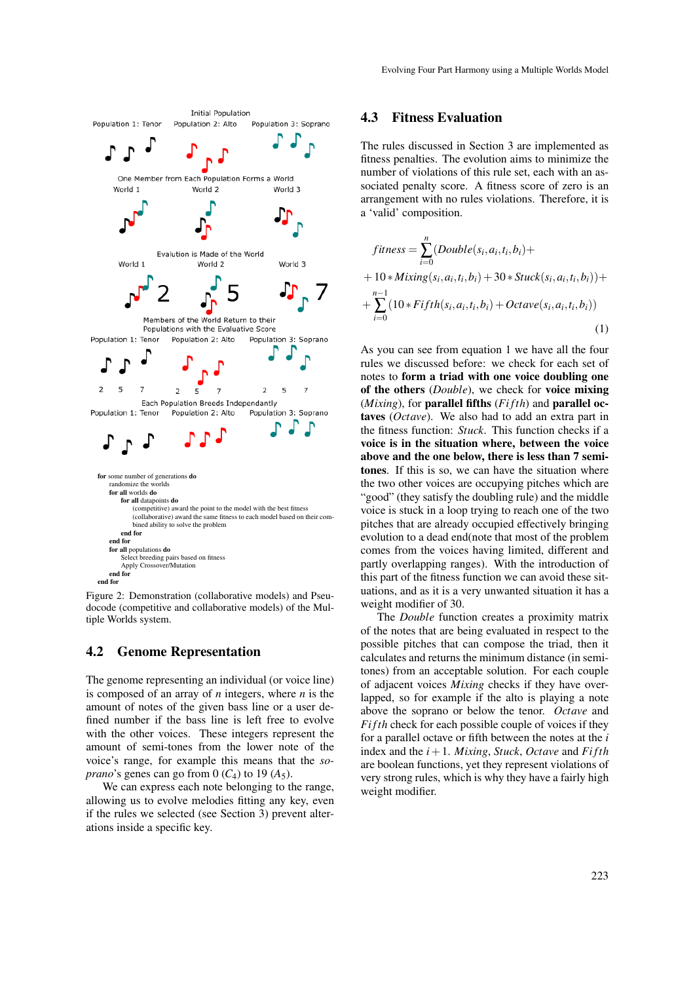

Figure 2: Demonstration (collaborative models) and Pseudocode (competitive and collaborative models) of the Multiple Worlds system.

#### 4.2 Genome Representation

The genome representing an individual (or voice line) is composed of an array of *n* integers, where *n* is the amount of notes of the given bass line or a user defined number if the bass line is left free to evolve with the other voices. These integers represent the amount of semi-tones from the lower note of the voice's range, for example this means that the *soprano*'s genes can go from  $0$  ( $C_4$ ) to 19 ( $A_5$ ).

We can express each note belonging to the range, allowing us to evolve melodies fitting any key, even if the rules we selected (see Section 3) prevent alterations inside a specific key.

#### 4.3 Fitness Evaluation

The rules discussed in Section 3 are implemented as fitness penalties. The evolution aims to minimize the number of violations of this rule set, each with an associated penalty score. A fitness score of zero is an arrangement with no rules violations. Therefore, it is a 'valid' composition.

$$
fitness = \sum_{i=0}^{n} (Double(s_i, a_i, t_i, b_i) + 10 * Mixing(s_i, a_i, t_i, b_i) + 30 * Stuck(s_i, a_i, t_i, b_i)) + \sum_{i=0}^{n-1} (10 * Fifth(s_i, a_i, t_i, b_i) + Octave(s_i, a_i, t_i, b_i))
$$
\n(1)

As you can see from equation 1 we have all the four rules we discussed before: we check for each set of notes to form a triad with one voice doubling one of the others (*Double*), we check for voice mixing (*Mixing*), for parallel fifths (*Fi fth*) and parallel octaves (*Octave*). We also had to add an extra part in the fitness function: *Stuck*. This function checks if a voice is in the situation where, between the voice above and the one below, there is less than 7 semitones. If this is so, we can have the situation where the two other voices are occupying pitches which are "good" (they satisfy the doubling rule) and the middle voice is stuck in a loop trying to reach one of the two pitches that are already occupied effectively bringing evolution to a dead end(note that most of the problem comes from the voices having limited, different and partly overlapping ranges). With the introduction of this part of the fitness function we can avoid these situations, and as it is a very unwanted situation it has a weight modifier of 30.

The *Double* function creates a proximity matrix of the notes that are being evaluated in respect to the possible pitches that can compose the triad, then it calculates and returns the minimum distance (in semitones) from an acceptable solution. For each couple of adjacent voices *Mixing* checks if they have overlapped, so for example if the alto is playing a note above the soprano or below the tenor. *Octave* and *Fi fth* check for each possible couple of voices if they for a parallel octave or fifth between the notes at the *i* index and the  $i+1$ . *Mixing*, *Stuck*, *Octave* and *Fifth* are boolean functions, yet they represent violations of very strong rules, which is why they have a fairly high weight modifier.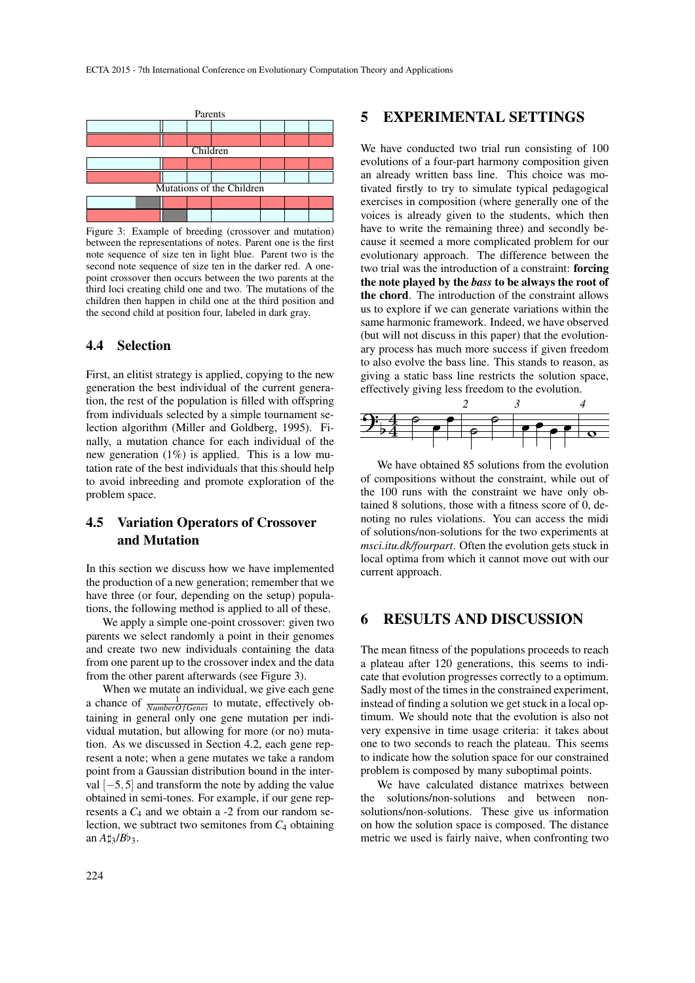

Figure 3: Example of breeding (crossover and mutation) between the representations of notes. Parent one is the first note sequence of size ten in light blue. Parent two is the second note sequence of size ten in the darker red. A onepoint crossover then occurs between the two parents at the third loci creating child one and two. The mutations of the children then happen in child one at the third position and the second child at position four, labeled in dark gray.

### 4.4 Selection

First, an elitist strategy is applied, copying to the new generation the best individual of the current generation, the rest of the population is filled with offspring from individuals selected by a simple tournament selection algorithm (Miller and Goldberg, 1995). Finally, a mutation chance for each individual of the new generation  $(1\%)$  is applied. This is a low mutation rate of the best individuals that this should help to avoid inbreeding and promote exploration of the problem space.

## 4.5 Variation Operators of Crossover and Mutation

In this section we discuss how we have implemented the production of a new generation; remember that we have three (or four, depending on the setup) populations, the following method is applied to all of these.

We apply a simple one-point crossover: given two parents we select randomly a point in their genomes and create two new individuals containing the data from one parent up to the crossover index and the data from the other parent afterwards (see Figure 3).

When we mutate an individual, we give each gene a chance of  $\frac{1}{NumberOfGenes}$  to mutate, effectively obtaining in general only one gene mutation per individual mutation, but allowing for more (or no) mutation. As we discussed in Section 4.2, each gene represent a note; when a gene mutates we take a random point from a Gaussian distribution bound in the interval [−5,5] and transform the note by adding the value obtained in semi-tones. For example, if our gene represents a *C*<sup>4</sup> and we obtain a -2 from our random selection, we subtract two semitones from *C*<sup>4</sup> obtaining an  $A\sharp_3/Bb_3$ .

### 5 EXPERIMENTAL SETTINGS

We have conducted two trial run consisting of 100 evolutions of a four-part harmony composition given an already written bass line. This choice was motivated firstly to try to simulate typical pedagogical exercises in composition (where generally one of the voices is already given to the students, which then have to write the remaining three) and secondly because it seemed a more complicated problem for our evolutionary approach. The difference between the two trial was the introduction of a constraint: forcing the note played by the *bass* to be always the root of the chord. The introduction of the constraint allows us to explore if we can generate variations within the same harmonic framework. Indeed, we have observed (but will not discuss in this paper) that the evolutionary process has much more success if given freedom to also evolve the bass line. This stands to reason, as giving a static bass line restricts the solution space, effectively giving less freedom to the evolution.



We have obtained 85 solutions from the evolution of compositions without the constraint, while out of the 100 runs with the constraint we have only obtained 8 solutions, those with a fitness score of 0, denoting no rules violations. You can access the midi of solutions/non-solutions for the two experiments at *msci.itu.dk/fourpart*. Often the evolution gets stuck in local optima from which it cannot move out with our current approach.

## 6 RESULTS AND DISCUSSION

The mean fitness of the populations proceeds to reach a plateau after 120 generations, this seems to indicate that evolution progresses correctly to a optimum. Sadly most of the times in the constrained experiment, instead of finding a solution we get stuck in a local optimum. We should note that the evolution is also not very expensive in time usage criteria: it takes about one to two seconds to reach the plateau. This seems to indicate how the solution space for our constrained problem is composed by many suboptimal points.

We have calculated distance matrixes between the solutions/non-solutions and between nonsolutions/non-solutions. These give us information on how the solution space is composed. The distance metric we used is fairly naive, when confronting two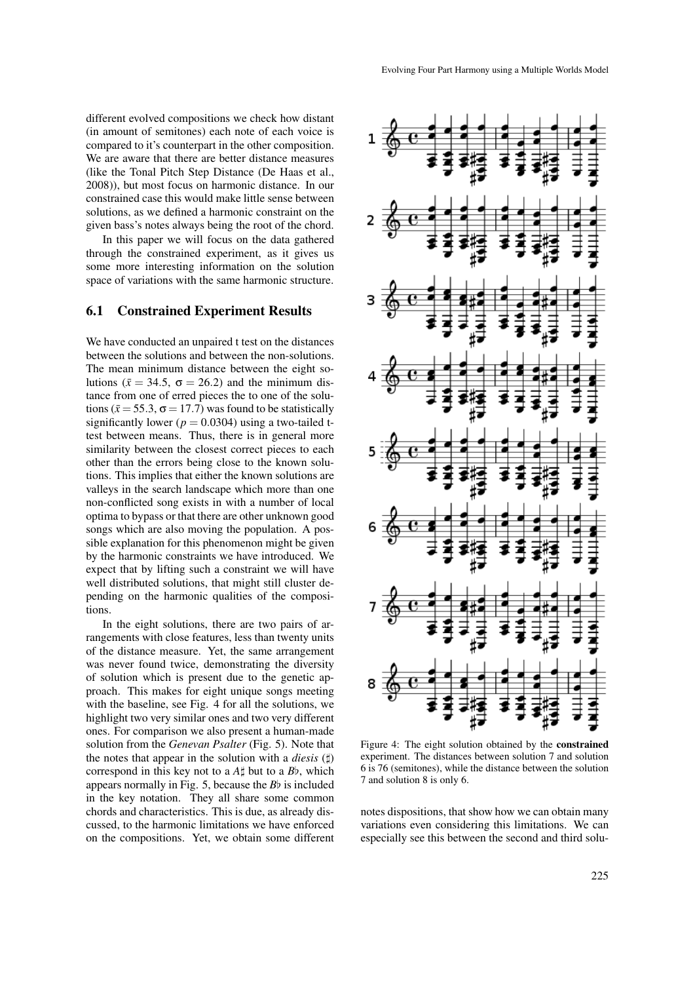different evolved compositions we check how distant (in amount of semitones) each note of each voice is compared to it's counterpart in the other composition. We are aware that there are better distance measures (like the Tonal Pitch Step Distance (De Haas et al., 2008)), but most focus on harmonic distance. In our constrained case this would make little sense between solutions, as we defined a harmonic constraint on the given bass's notes always being the root of the chord.

In this paper we will focus on the data gathered through the constrained experiment, as it gives us some more interesting information on the solution space of variations with the same harmonic structure.

#### 6.1 Constrained Experiment Results

We have conducted an unpaired t test on the distances between the solutions and between the non-solutions. The mean minimum distance between the eight solutions ( $\bar{x}$  = 34.5,  $\sigma$  = 26.2) and the minimum distance from one of erred pieces the to one of the solutions ( $\bar{x}$  = 55.3,  $\sigma$  = 17.7) was found to be statistically significantly lower ( $p = 0.0304$ ) using a two-tailed ttest between means. Thus, there is in general more similarity between the closest correct pieces to each other than the errors being close to the known solutions. This implies that either the known solutions are valleys in the search landscape which more than one non-conflicted song exists in with a number of local optima to bypass or that there are other unknown good songs which are also moving the population. A possible explanation for this phenomenon might be given by the harmonic constraints we have introduced. We expect that by lifting such a constraint we will have well distributed solutions, that might still cluster depending on the harmonic qualities of the compositions.

In the eight solutions, there are two pairs of arrangements with close features, less than twenty units of the distance measure. Yet, the same arrangement was never found twice, demonstrating the diversity of solution which is present due to the genetic approach. This makes for eight unique songs meeting with the baseline, see Fig. 4 for all the solutions, we highlight two very similar ones and two very different ones. For comparison we also present a human-made solution from the *Genevan Psalter* (Fig. 5). Note that the notes that appear in the solution with a *diesis*  $(f)$ correspond in this key not to a  $A\sharp$  but to a  $B\flat$ , which appears normally in Fig. 5, because the  $B\flat$  is included in the key notation. They all share some common chords and characteristics. This is due, as already discussed, to the harmonic limitations we have enforced on the compositions. Yet, we obtain some different



Figure 4: The eight solution obtained by the constrained experiment. The distances between solution 7 and solution 6 is 76 (semitones), while the distance between the solution 7 and solution 8 is only 6.

notes dispositions, that show how we can obtain many variations even considering this limitations. We can especially see this between the second and third solu-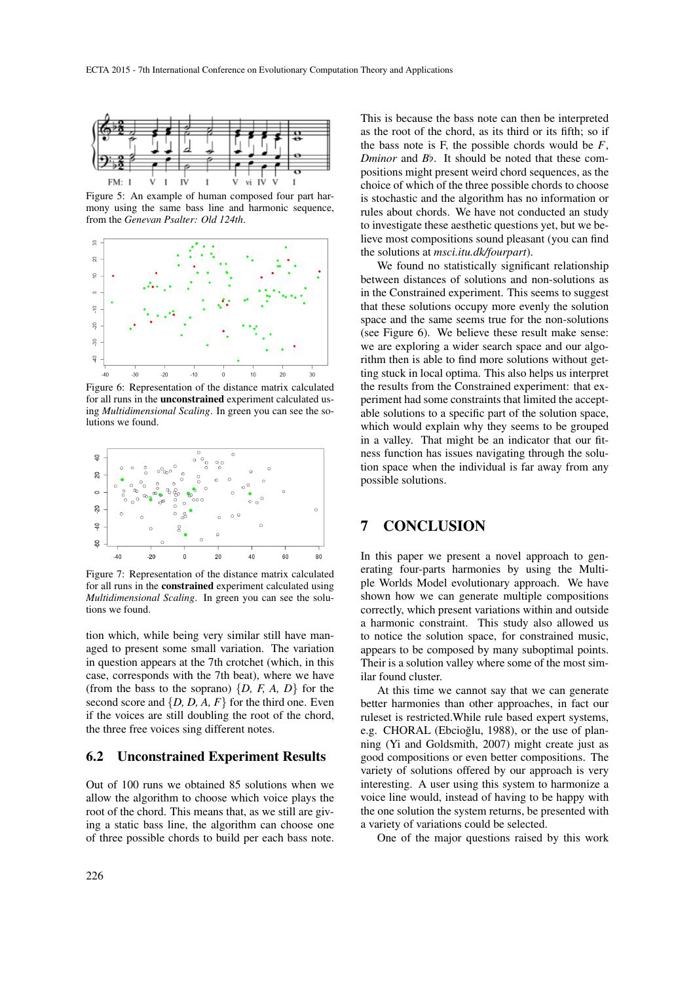

Figure 5: An example of human composed four part harmony using the same bass line and harmonic sequence, from the *Genevan Psalter: Old 124th*.



Figure 6: Representation of the distance matrix calculated for all runs in the unconstrained experiment calculated using *Multidimensional Scaling*. In green you can see the solutions we found.



Figure 7: Representation of the distance matrix calculated for all runs in the constrained experiment calculated using *Multidimensional Scaling*. In green you can see the solutions we found.

tion which, while being very similar still have managed to present some small variation. The variation in question appears at the 7th crotchet (which, in this case, corresponds with the 7th beat), where we have (from the bass to the soprano)  $\{D, F, A, D\}$  for the second score and  $\{D, D, A, F\}$  for the third one. Even if the voices are still doubling the root of the chord, the three free voices sing different notes.

#### 6.2 Unconstrained Experiment Results

Out of 100 runs we obtained 85 solutions when we allow the algorithm to choose which voice plays the root of the chord. This means that, as we still are giving a static bass line, the algorithm can choose one of three possible chords to build per each bass note.

This is because the bass note can then be interpreted as the root of the chord, as its third or its fifth; so if the bass note is  $F$ , the possible chords would be  $F$ , *Dminor* and *B* $\flat$ . It should be noted that these compositions might present weird chord sequences, as the choice of which of the three possible chords to choose is stochastic and the algorithm has no information or rules about chords. We have not conducted an study to investigate these aesthetic questions yet, but we believe most compositions sound pleasant (you can find the solutions at *msci.itu.dk/fourpart*).

We found no statistically significant relationship between distances of solutions and non-solutions as in the Constrained experiment. This seems to suggest that these solutions occupy more evenly the solution space and the same seems true for the non-solutions (see Figure 6). We believe these result make sense: we are exploring a wider search space and our algorithm then is able to find more solutions without getting stuck in local optima. This also helps us interpret the results from the Constrained experiment: that experiment had some constraints that limited the acceptable solutions to a specific part of the solution space, which would explain why they seems to be grouped in a valley. That might be an indicator that our fitness function has issues navigating through the solution space when the individual is far away from any possible solutions.

### 7 CONCLUSION

In this paper we present a novel approach to generating four-parts harmonies by using the Multiple Worlds Model evolutionary approach. We have shown how we can generate multiple compositions correctly, which present variations within and outside a harmonic constraint. This study also allowed us to notice the solution space, for constrained music, appears to be composed by many suboptimal points. Their is a solution valley where some of the most similar found cluster.

At this time we cannot say that we can generate better harmonies than other approaches, in fact our ruleset is restricted.While rule based expert systems, e.g. CHORAL (Ebcioğlu, 1988), or the use of planning (Yi and Goldsmith, 2007) might create just as good compositions or even better compositions. The variety of solutions offered by our approach is very interesting. A user using this system to harmonize a voice line would, instead of having to be happy with the one solution the system returns, be presented with a variety of variations could be selected.

One of the major questions raised by this work